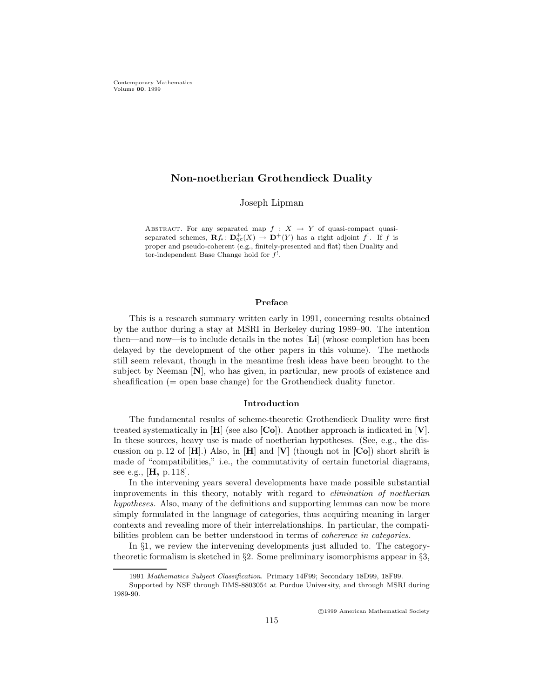# Non-noetherian Grothendieck Duality

Joseph Lipman

ABSTRACT. For any separated map  $f : X \rightarrow Y$  of quasi-compact quasiseparated schemes,  $\mathbf{R}f_*\colon \mathbf{D}_{\mathrm{qc}}^+(X) \to \mathbf{D}^+(Y)$  has a right adjoint f<sup>!</sup>. If f is proper and pseudo-coherent (e.g., finitely-presented and flat) then Duality and tor-independent Base Change hold for  $f^!$ .

### Preface

This is a research summary written early in 1991, concerning results obtained by the author during a stay at MSRI in Berkeley during 1989–90. The intention then—and now—is to include details in the notes [Li] (whose completion has been delayed by the development of the other papers in this volume). The methods still seem relevant, though in the meantime fresh ideas have been brought to the subject by Neeman  $[N]$ , who has given, in particular, new proofs of existence and sheafification  $(=$  open base change) for the Grothendieck duality functor.

#### Introduction

The fundamental results of scheme-theoretic Grothendieck Duality were first treated systematically in  $[H]$  (see also  $[Co]$ ). Another approach is indicated in  $[V]$ . In these sources, heavy use is made of noetherian hypotheses. (See, e.g., the discussion on p. 12 of  $[H]$ .) Also, in  $[H]$  and  $[V]$  (though not in  $[Co]$ ) short shrift is made of "compatibilities," i.e., the commutativity of certain functorial diagrams, see e.g., [**H**, p. 118].

In the intervening years several developments have made possible substantial improvements in this theory, notably with regard to elimination of noetherian hypotheses. Also, many of the definitions and supporting lemmas can now be more simply formulated in the language of categories, thus acquiring meaning in larger contexts and revealing more of their interrelationships. In particular, the compatibilities problem can be better understood in terms of coherence in categories.

In §1, we review the intervening developments just alluded to. The categorytheoretic formalism is sketched in §2. Some preliminary isomorphisms appear in §3,

c 1999 American Mathematical Society

<sup>1991</sup> Mathematics Subject Classification. Primary 14F99; Secondary 18D99, 18F99.

Supported by NSF through DMS-8803054 at Purdue University, and through MSRI during 1989-90.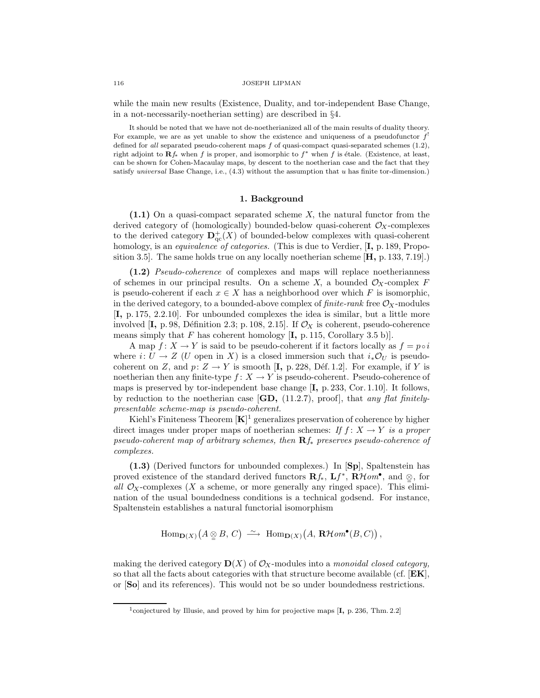while the main new results (Existence, Duality, and tor-independent Base Change, in a not-necessarily-noetherian setting) are described in §4.

It should be noted that we have not de-noetherianized all of the main results of duality theory. For example, we are as yet unable to show the existence and uniqueness of a pseudofunctor  $f^!$ defined for all separated pseudo-coherent maps f of quasi-compact quasi-separated schemes (1.2), right adjoint to  $\mathbf{R}f_*$  when f is proper, and isomorphic to  $f^*$  when f is étale. (Existence, at least, can be shown for Cohen-Macaulay maps, by descent to the noetherian case and the fact that they satisfy universal Base Change, i.e.,  $(4.3)$  without the assumption that u has finite tor-dimension.)

## 1. Background

(1.1) On a quasi-compact separated scheme X, the natural functor from the derived category of (homologically) bounded-below quasi-coherent  $\mathcal{O}_X$ -complexes to the derived category  $\mathbf{D}^+_{\mathrm{qc}}(X)$  of bounded-below complexes with quasi-coherent homology, is an *equivalence of categories*. (This is due to Verdier, [I, p. 189, Proposition 3.5. The same holds true on any locally noetherian scheme  $[\mathbf{H}, p. 133, 7.19]$ .

(1.2) Pseudo-coherence of complexes and maps will replace noetherianness of schemes in our principal results. On a scheme X, a bounded  $\mathcal{O}_X$ -complex F is pseudo-coherent if each  $x \in X$  has a neighborhood over which F is isomorphic, in the derived category, to a bounded-above complex of  $finite\text{-}rank$  free  $\mathcal{O}_X$ -modules [I, p. 175, 2.2.10]. For unbounded complexes the idea is similar, but a little more involved  $[I, p. 98, Définition 2.3; p. 108, 2.15]$ . If  $\mathcal{O}_X$  is coherent, pseudo-coherence means simply that F has coherent homology  $[I, p. 115, Corollary 3.5 b)].$ 

A map  $f: X \to Y$  is said to be pseudo-coherent if it factors locally as  $f = p \circ i$ where  $i: U \to Z$  (U open in X) is a closed immersion such that  $i_*\mathcal{O}_U$  is pseudocoherent on Z, and  $p: Z \to Y$  is smooth [I, p. 228, Déf. 1.2]. For example, if Y is noetherian then any finite-type  $f: X \to Y$  is pseudo-coherent. Pseudo-coherence of maps is preserved by tor-independent base change [I, p. 233, Cor. 1.10]. It follows, by reduction to the noetherian case  $[\mathbf{GD}, (11.2.7), \text{proof}]$ , that any flat finitelypresentable scheme-map is pseudo-coherent.

Kiehl's Finiteness Theorem  $[K]^1$  generalizes preservation of coherence by higher direct images under proper maps of noetherian schemes: If  $f: X \to Y$  is a proper pseudo-coherent map of arbitrary schemes, then  $\mathbf{R}f_*$  preserves pseudo-coherence of complexes.

(1.3) (Derived functors for unbounded complexes.) In [Sp], Spaltenstein has proved existence of the standard derived functors  $\mathbf{R}f_*$ ,  $\mathbf{L}f^*$ ,  $\mathbf{R}Hom^{\bullet}$ , and  $\underset{\simeq}{\otimes}$ , for all  $\mathcal{O}_X$ -complexes (X a scheme, or more generally any ringed space). This elimination of the usual boundedness conditions is a technical godsend. For instance, Spaltenstein establishes a natural functorial isomorphism

$$
\operatorname{Hom}\nolimits_{{\mathbf D}(X)}\big(A\underset{\simeq}{\otimes} B,\,C\big)\;\overset{\sim}{\longrightarrow}\; \operatorname{Hom}\nolimits_{{\mathbf D}(X)}\big(A,\,\mathbf{R}\mathcal{H}\mathit{om}^{\bullet}(B,C)\big)\,,
$$

making the derived category  $\mathbf{D}(X)$  of  $\mathcal{O}_X$ -modules into a *monoidal closed category*, so that all the facts about categories with that structure become available (cf.  $[EK]$ , or [So] and its references). This would not be so under boundedness restrictions.

<sup>&</sup>lt;sup>1</sup>conjectured by Illusie, and proved by him for projective maps  $[I, p. 236, Thm. 2.2]$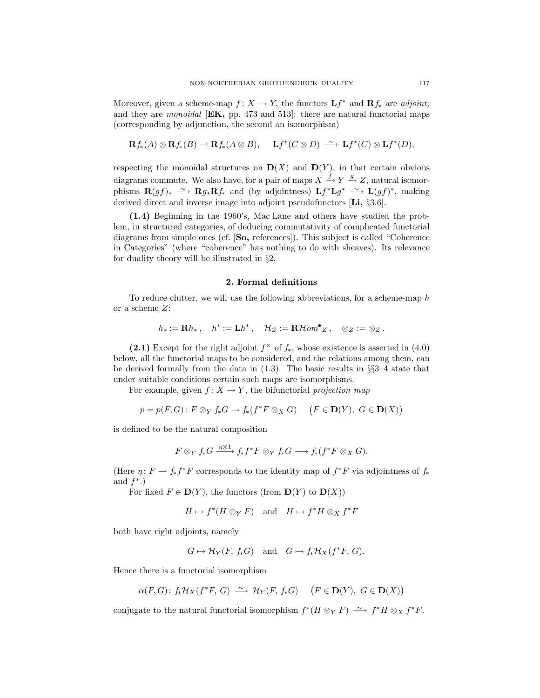Moreover, given a scheme-map  $f: X \to Y$ , the functors  $\mathbf{L} f^*$  and  $\mathbf{R} f_*$  are *adjoint*; and they are monoidal  $[EK, pp. 473 and 513]$ : there are natural functorial maps (corresponding by adjunction, the second an isomorphism)

$$
\mathbf{R} f_{*}(A) \underset{\simeq}{\otimes} \mathbf{R} f_{*}(B) \to \mathbf{R} f_{*}(A \underset{\simeq}{\otimes} B), \quad \mathbf{L} f^{*}(C \underset{\simeq}{\otimes} D) \xrightarrow{\sim} \mathbf{L} f^{*}(C) \underset{\simeq}{\otimes} \mathbf{L} f^{*}(D),
$$

respecting the monoidal structures on  $\mathbf{D}(X)$  and  $\mathbf{D}(Y)$ , in that certain obvious diagrams commute. We also have, for a pair of maps  $X \xrightarrow{f} Y \xrightarrow{g} Z$ , natural isomorphisms  $\mathbf{R}(gf)_{*} \longrightarrow \mathbf{R}g_{*}\mathbf{R}f_{*}$  and (by adjointness)  $\mathbf{L}f^{*}\mathbf{L}g^{*} \longrightarrow \mathbf{L}(gf)^{*}$ , making derived direct and inverse image into adjoint pseudofunctors [Li, §3.6].

(1.4) Beginning in the 1960's, Mac Lane and others have studied the problem, in structured categories, of deducing commutativity of complicated functorial diagrams from simple ones (cf. [So, references]). This subject is called "Coherence in Categories" (where "coherence" has nothing to do with sheaves). Its relevance for duality theory will be illustrated in §2.

#### 2. Formal definitions

To reduce clutter, we will use the following abbreviations, for a scheme-map h or a scheme Z:

$$
h_*:=\mathbf{R} h_*\ ,\quad h^*:=\mathbf{L} h^*\ ,\quad \mathcal{H}_Z:=\mathbf{R}\mathcal{H}\mathit{om}^{\bullet}\ _Z\ ,\quad \otimes_Z:=\mathop{\otimes}_{{\mathbb Z}} Z\ .
$$

(2.1) Except for the right adjoint  $f^{\times}$  of  $f_{*}$ , whose existence is asserted in (4.0) below, all the functorial maps to be considered, and the relations among them, can be derived formally from the data in (1.3). The basic results in §§3–4 state that under suitable conditions certain such maps are isomorphisms.

For example, given  $f: X \to Y$ , the bifunctorial projection map

$$
p = p(F, G) : F \otimes_Y f_* G \to f_*(f^*F \otimes_X G) \quad (F \in \mathbf{D}(Y), G \in \mathbf{D}(X))
$$

is defined to be the natural composition

$$
F\otimes_Y f_*G \xrightarrow{\eta\otimes 1} f_*f^*F\otimes_Y f_*G \longrightarrow f_*(f^*F\otimes_X G).
$$

(Here  $\eta: F \to f_* f^*F$  corresponds to the identity map of  $f^*F$  via adjointness of  $f_*$ and  $f^*$ .)

For fixed  $F \in \mathbf{D}(Y)$ , the functors (from  $\mathbf{D}(Y)$  to  $\mathbf{D}(X)$ )

$$
H \mapsto f^*(H \otimes_Y F) \quad \text{and} \quad H \mapsto f^*H \otimes_X f^*F
$$

both have right adjoints, namely

$$
G \mapsto \mathcal{H}_Y(F, f_*G)
$$
 and  $G \mapsto f_*\mathcal{H}_X(f^*F, G)$ .

Hence there is a functorial isomorphism

$$
\alpha(F,G) \colon f_*\mathcal{H}_X(f^*F, G) \xrightarrow{\sim} \mathcal{H}_Y(F, f_*G) \quad \left(F \in \mathbf{D}(Y), G \in \mathbf{D}(X)\right)
$$

conjugate to the natural functorial isomorphism  $f^*(H \otimes_Y F) \longrightarrow f^*H \otimes_X f^*F$ .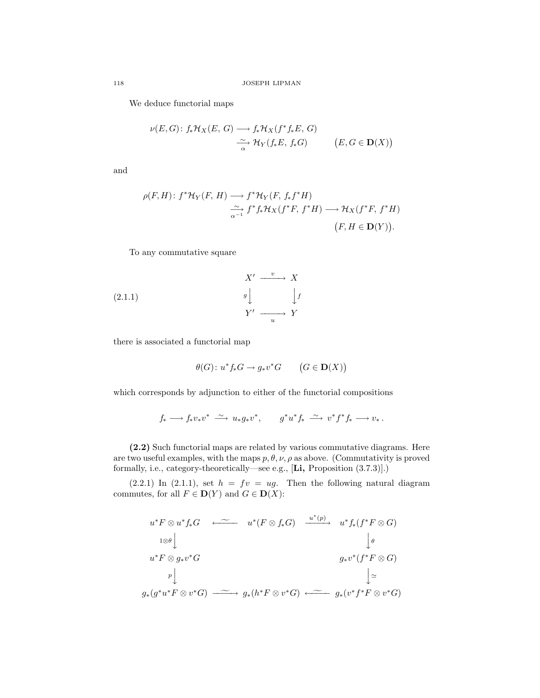We deduce functorial maps

$$
\nu(E, G): f_* \mathcal{H}_X(E, G) \longrightarrow f_* \mathcal{H}_X(f^* f_* E, G)
$$
  

$$
\xrightarrow[\alpha]{\sim} \mathcal{H}_Y(f_* E, f_* G) \qquad (E, G \in \mathbf{D}(X))
$$

and

$$
\rho(F, H): f^* \mathcal{H}_Y(F, H) \longrightarrow f^* \mathcal{H}_Y(F, f_* f^* H)
$$
  
\n
$$
\xrightarrow[\alpha-1]{\sim} f^* f_* \mathcal{H}_X(f^* F, f^* H) \longrightarrow \mathcal{H}_X(f^* F, f^* H)
$$
  
\n
$$
(F, H \in \mathbf{D}(Y)).
$$

To any commutative square

$$
X' \xrightarrow{v} X
$$
  
(2.1.1)  

$$
g \downarrow \qquad \qquad \downarrow f
$$
  

$$
Y' \xrightarrow{u} Y
$$

there is associated a functorial map

$$
\theta(G) \colon u^* f_* G \to g_* v^* G \qquad \big(G \in \mathbf{D}(X)\big)
$$

which corresponds by adjunction to either of the functorial compositions

$$
f_* \longrightarrow f_* v_* v^* \stackrel{\sim}{\longrightarrow} u_* g_* v^*, \qquad g^* u^* f_* \stackrel{\sim}{\longrightarrow} v^* f^* f_* \longrightarrow v_*.
$$

(2.2) Such functorial maps are related by various commutative diagrams. Here are two useful examples, with the maps  $p, \theta, \nu, \rho$  as above. (Commutativity is proved formally, i.e., category-theoretically—see e.g., [Li, Proposition (3.7.3)].)

 $(2.2.1)$  In  $(2.1.1)$ , set  $h = fv = ug$ . Then the following natural diagram commutes, for all  $F \in \mathbf{D}(Y)$  and  $G \in \mathbf{D}(X)$ :

$$
u^* F \otimes u^* f_* G \longleftarrow u^* (F \otimes f_* G) \xrightarrow{u^* (p)} u^* f_* (f^* F \otimes G)
$$
  
\n
$$
u^* F \otimes g_* v^* G \qquad \qquad g_* v^* (f^* F \otimes G)
$$
  
\n
$$
p \downarrow \qquad \qquad g_* (g^* u^* F \otimes v^* G) \xrightarrow{\sim} g_* (h^* F \otimes v^* G) \xleftarrow{\sim} g_* (v^* f^* F \otimes v^* G)
$$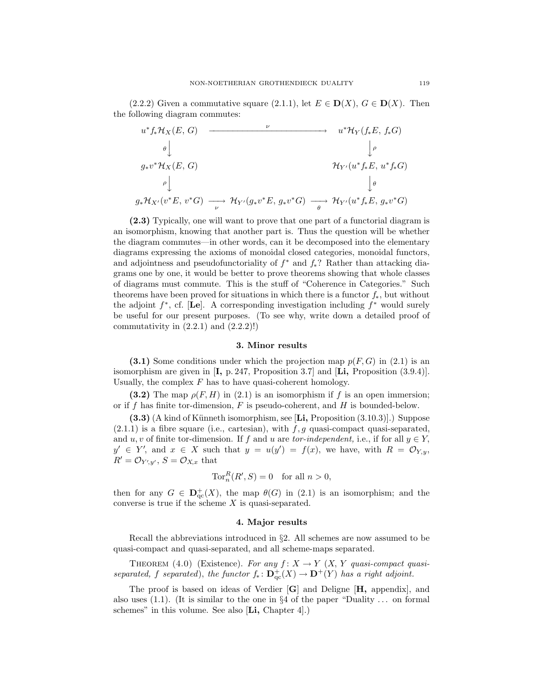(2.2.2) Given a commutative square (2.1.1), let  $E \in \mathbf{D}(X)$ ,  $G \in \mathbf{D}(X)$ . Then the following diagram commutes:

$$
u^* f_* \mathcal{H}_X(E, G) \longrightarrow u^* \mathcal{H}_Y(f_* E, f_* G)
$$
  
\n
$$
\theta \downarrow \qquad \qquad \downarrow \rho
$$
  
\n
$$
g_* v^* \mathcal{H}_X(E, G) \longrightarrow \mathcal{H}_{Y'}(u^* f_* E, u^* f_* G)
$$
  
\n
$$
\theta \downarrow \qquad \qquad \downarrow \theta
$$
  
\n
$$
g_* \mathcal{H}_{X'}(v^* E, v^* G) \longrightarrow \mathcal{H}_{Y'}(g_* v^* E, g_* v^* G) \longrightarrow \mathcal{H}_{Y'}(u^* f_* E, g_* v^* G)
$$

(2.3) Typically, one will want to prove that one part of a functorial diagram is an isomorphism, knowing that another part is. Thus the question will be whether the diagram commutes—in other words, can it be decomposed into the elementary diagrams expressing the axioms of monoidal closed categories, monoidal functors, and adjointness and pseudofunctoriality of  $f^*$  and  $f_*$ ? Rather than attacking diagrams one by one, it would be better to prove theorems showing that whole classes of diagrams must commute. This is the stuff of "Coherence in Categories." Such theorems have been proved for situations in which there is a functor  $f_*$ , but without the adjoint  $f^*$ , cf. [Le]. A corresponding investigation including  $f^*$  would surely be useful for our present purposes. (To see why, write down a detailed proof of commutativity in  $(2.2.1)$  and  $(2.2.2)!$ 

### 3. Minor results

(3.1) Some conditions under which the projection map  $p(F, G)$  in (2.1) is an isomorphism are given in  $[I, p. 247,$  Proposition 3.7 and  $[Li,$  Proposition  $(3.9.4)$ . Usually, the complex  $F$  has to have quasi-coherent homology.

(3.2) The map  $\rho(F, H)$  in (2.1) is an isomorphism if f is an open immersion; or if f has finite tor-dimension,  $F$  is pseudo-coherent, and  $H$  is bounded-below.

 $(3.3)$  (A kind of Künneth isomorphism, see [Li, Proposition  $(3.10.3)$ ].) Suppose  $(2.1.1)$  is a fibre square (i.e., cartesian), with  $f, g$  quasi-compact quasi-separated, and u, v of finite tor-dimension. If f and u are tor-independent, i.e., if for all  $y \in Y$ ,  $y' \in Y'$ , and  $x \in X$  such that  $y = u(y') = f(x)$ , we have, with  $R = \mathcal{O}_{Y,y}$ ,  $R' = \mathcal{O}_{Y',y'}$ ,  $S = \mathcal{O}_{X,x}$  that

$$
\operatorname{Tor}^R_n(R',S)=0 \quad \text{for all } n>0,
$$

then for any  $G \in \mathbf{D}^+_{\mathrm{qc}}(X)$ , the map  $\theta(G)$  in (2.1) is an isomorphism; and the converse is true if the scheme  $X$  is quasi-separated.

#### 4. Major results

Recall the abbreviations introduced in §2. All schemes are now assumed to be quasi-compact and quasi-separated, and all scheme-maps separated.

THEOREM (4.0) (Existence). For any  $f: X \to Y$   $(X, Y$  quasi-compact quasiseparated, f separated), the functor  $f_* \colon \mathbf{D}^+_{\mathrm{qc}}(X) \to \mathbf{D}^+(Y)$  has a right adjoint.

The proof is based on ideas of Verdier [G] and Deligne [H, appendix], and also uses  $(1.1)$ . (It is similar to the one in §4 of the paper "Duality ... on formal schemes" in this volume. See also  $[Li, Chapter 4]$ .)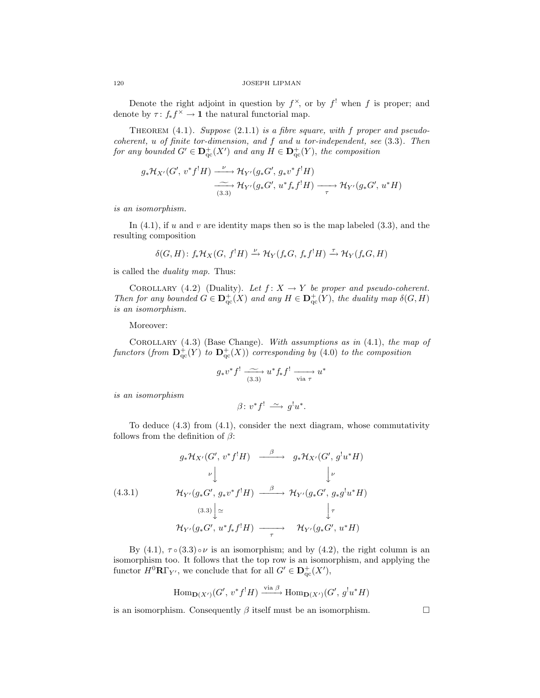Denote the right adjoint in question by  $f^{\times}$ , or by  $f'$  when f is proper; and denote by  $\tau: f_* f^{\times} \to \mathbf{1}$  the natural functorial map.

THEOREM  $(4.1)$ . Suppose  $(2.1.1)$  is a fibre square, with f proper and pseudocoherent, u of finite tor-dimension, and f and u tor-independent, see (3.3). Then for any bounded  $G' \in D_{\mathrm{qc}}^+(X')$  and any  $H \in D_{\mathrm{qc}}^+(Y)$ , the composition

$$
g_*\mathcal{H}_{X'}(G', v^*f^!H) \xrightarrow{\nu} \mathcal{H}_{Y'}(g_*G', g_*v^*f^!H)
$$
  

$$
\xrightarrow[(3.3)] \longrightarrow \mathcal{H}_{Y'}(g_*G', u^*f_*f^!H) \xrightarrow[\tau]{} \mathcal{H}_{Y'}(g_*G', u^*H)
$$

is an isomorphism.

In  $(4.1)$ , if u and v are identity maps then so is the map labeled  $(3.3)$ , and the resulting composition

$$
\delta(G, H) \colon f_*\mathcal{H}_X(G, f^!H) \xrightarrow{\nu} \mathcal{H}_Y(f_*G, f_*f^!H) \xrightarrow{\tau} \mathcal{H}_Y(f_*G, H)
$$

is called the duality map. Thus:

COROLLARY (4.2) (Duality). Let  $f: X \to Y$  be proper and pseudo-coherent. Then for any bounded  $G \in \mathbf{D}^+_{\mathrm{qc}}(X)$  and any  $H \in \mathbf{D}^+_{\mathrm{qc}}(Y)$ , the duality map  $\delta(G, H)$ is an isomorphism.

Moreover:

COROLLARY  $(4.3)$  (Base Change). With assumptions as in  $(4.1)$ , the map of functors (from  $\mathbf{D}^+_{\mathrm{qc}}(Y)$  to  $\mathbf{D}^+_{\mathrm{qc}}(X)$ ) corresponding by (4.0) to the composition

$$
g_* v^* f^! \xrightarrow{(3.3)} u^* f_* f^! \xrightarrow[\text{via } \tau]{} u^*
$$

is an isomorphism

$$
\beta\colon v^*f^!\ \xrightarrow{\sim} g^!u^*.
$$

To deduce (4.3) from (4.1), consider the next diagram, whose commutativity follows from the definition of  $\beta$ :

$$
g_* \mathcal{H}_{X'}(G', v^* f^! H) \xrightarrow{\beta} g_* \mathcal{H}_{X'}(G', g^! u^* H)
$$
  
\n
$$
\downarrow \qquad \qquad \downarrow \qquad \qquad \downarrow \qquad \qquad \downarrow \qquad \qquad \downarrow \qquad \qquad \downarrow \qquad \qquad \downarrow \qquad \qquad \downarrow \qquad \qquad \downarrow \qquad \qquad \downarrow \qquad \qquad \downarrow \qquad \qquad \downarrow \qquad \qquad \downarrow \qquad \qquad \downarrow \qquad \qquad \downarrow \qquad \qquad \downarrow \qquad \qquad \downarrow \qquad \qquad \downarrow \qquad \qquad \downarrow \qquad \qquad \downarrow \qquad \qquad \downarrow \qquad \qquad \downarrow \qquad \qquad \downarrow \qquad \qquad \downarrow \qquad \qquad \downarrow \qquad \qquad \downarrow \qquad \qquad \downarrow \qquad \qquad \downarrow \qquad \qquad \downarrow \qquad \qquad \downarrow \qquad \qquad \downarrow \qquad \qquad \downarrow \qquad \qquad \downarrow \qquad \qquad \downarrow \qquad \qquad \downarrow \qquad \qquad \downarrow \qquad \qquad \downarrow \qquad \qquad \downarrow \qquad \qquad \downarrow \qquad \qquad \downarrow \qquad \qquad \downarrow \qquad \qquad \downarrow \qquad \qquad \downarrow \qquad \qquad \downarrow \qquad \qquad \downarrow \qquad \qquad \downarrow \qquad \qquad \downarrow \qquad \qquad \downarrow \qquad \qquad \downarrow \qquad \qquad \downarrow \qquad \qquad \downarrow \qquad \qquad \downarrow \qquad \qquad \downarrow \qquad \qquad \downarrow \qquad \qquad \downarrow \qquad \qquad \downarrow \qquad \qquad \downarrow \qquad \qquad \downarrow \qquad \qquad \downarrow \qquad \qquad \downarrow \qquad \qquad \downarrow \qquad \qquad \downarrow \qquad \qquad \downarrow \qquad \qquad \downarrow \qquad \qquad \downarrow \qquad \qquad \downarrow \qquad \qquad \downarrow \qquad \qquad \downarrow \qquad \qquad \downarrow \qquad \qquad \downarrow \qquad \qquad \downarrow \qquad \qquad \downarrow \qquad \qquad \downarrow \qquad \qquad \downarrow \qquad \qquad \downarrow \qquad \qquad \downarrow \qquad \qquad \downarrow \qquad \qquad \downarrow \qquad \down
$$

By  $(4.1)$ ,  $\tau \circ (3.3) \circ \nu$  is an isomorphism; and by  $(4.2)$ , the right column is an isomorphism too. It follows that the top row is an isomorphism, and applying the functor  $H^0\mathbf{R}\Gamma_{Y'}$ , we conclude that for all  $G' \in \mathbf{D}_{\mathrm{qc}}^+(X')$ ,

$$
\operatorname{Hom}\nolimits_{{\mathbf D}(X')}(G',\,v^*f^!H)\xrightarrow{\operatorname{via}\nolimits\beta}\operatorname{Hom}\nolimits_{{\mathbf D}(X')}(G',\,g^!u^*H)
$$

is an isomorphism. Consequently  $\beta$  itself must be an isomorphism.

$$
120\,
$$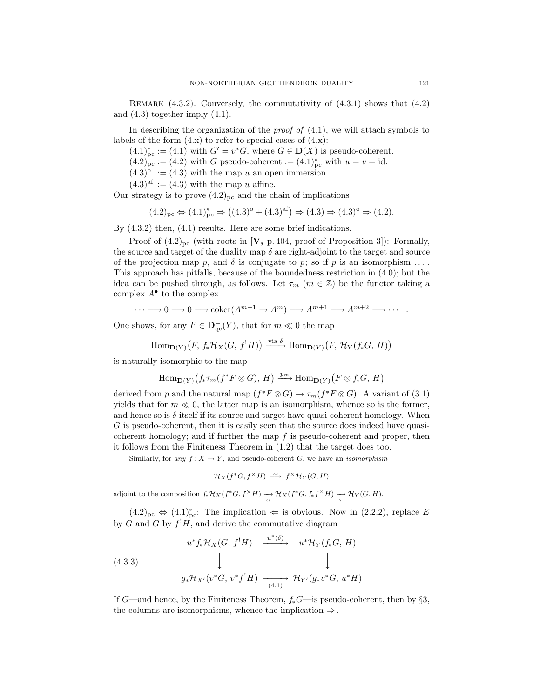REMARK  $(4.3.2)$ . Conversely, the commutativity of  $(4.3.1)$  shows that  $(4.2)$ and  $(4.3)$  together imply  $(4.1)$ .

In describing the organization of the *proof of*  $(4.1)$ , we will attach symbols to labels of the form  $(4.x)$  to refer to special cases of  $(4.x)$ :

 $(4.1)_{\text{pc}}^* := (4.1)$  with  $G' = v^*G$ , where  $G \in \mathbf{D}(X)$  is pseudo-coherent.

 $(4.2)_{\text{pc}}^{\bullet} := (4.2)$  with G pseudo-coherent  $:=(4.1)_{\text{pc}}^*$  with  $u=v=\text{id}$ .

 $(4.3)^\circ := (4.3)$  with the map u an open immersion.

 $(4.3)$ <sup>af</sup> :=  $(4.3)$  with the map u affine.

Our strategy is to prove  $(4.2)_{nc}$  and the chain of implications

 $(4.2)_{\text{pc}} \Leftrightarrow (4.1)_{\text{pc}}^* \Rightarrow ((4.3)^{\circ} + (4.3)^{\text{af}}) \Rightarrow (4.3) \Rightarrow (4.3)^{\circ} \Rightarrow (4.2).$ 

By (4.3.2) then, (4.1) results. Here are some brief indications.

Proof of  $(4.2)_{pc}$  (with roots in [V, p. 404, proof of Proposition 3]): Formally, the source and target of the duality map  $\delta$  are right-adjoint to the target and source of the projection map p, and  $\delta$  is conjugate to p; so if p is an isomorphism ... This approach has pitfalls, because of the boundedness restriction in (4.0); but the idea can be pushed through, as follows. Let  $\tau_m$  ( $m \in \mathbb{Z}$ ) be the functor taking a complex  $A^{\bullet}$  to the complex

$$
\cdots \longrightarrow 0 \longrightarrow 0 \longrightarrow \operatorname{coker}(A^{m-1} \longrightarrow A^{m}) \longrightarrow A^{m+1} \longrightarrow A^{m+2} \longrightarrow \cdots
$$

One shows, for any  $F \in \mathbf{D}_{\mathrm{qc}}^-(Y)$ , that for  $m \ll 0$  the map

$$
\operatorname{Hom}\nolimits_{{\mathbf D}(Y)}\bigl(F, f_*{\mathcal H}_X(G, f^!H)\bigr) \xrightarrow{\operatorname{via} \delta} \operatorname{Hom}\nolimits_{{\mathbf D}(Y)}\bigl(F, {\mathcal H}_Y(f_*G, H)\bigr)
$$

is naturally isomorphic to the map

$$
\mathrm{Hom}_{\mathbf{D}(Y)}(f_*\tau_m(f^*F\otimes G), H)\xrightarrow{p_m} \mathrm{Hom}_{\mathbf{D}(Y)}(F\otimes f_*G, H)
$$

derived from p and the natural map  $(f^*F \otimes G) \to \tau_m(f^*F \otimes G)$ . A variant of (3.1) yields that for  $m \ll 0$ , the latter map is an isomorphism, whence so is the former, and hence so is  $\delta$  itself if its source and target have quasi-coherent homology. When G is pseudo-coherent, then it is easily seen that the source does indeed have quasicoherent homology; and if further the map  $f$  is pseudo-coherent and proper, then it follows from the Finiteness Theorem in (1.2) that the target does too.

Similarly, for any  $f: X \to Y$ , and pseudo-coherent G, we have an *isomorphism* 

$$
\mathcal{H}_X(f^*G, f^\times H) \stackrel{\sim}{\longrightarrow} f^\times \mathcal{H}_Y(G, H)
$$

adjoint to the composition  $f_*\mathcal{H}_X(f^*G, f^{\times}H) \to \mathcal{H}_X(f^*G, f_*f^{\times}H) \to \mathcal{H}_Y(G, H)$ .

 $(4.2)_{\text{pc}} \Leftrightarrow (4.1)_{\text{pc}}^*$ : The implication  $\Leftarrow$  is obvious. Now in  $(2.2.2)$ , replace E by G and G by  $f^!H$ , and derive the commutative diagram

(4.3.3)  

$$
u^* f_* \mathcal{H}_X(G, f^! H) \xrightarrow{u^* (\delta)} u^* \mathcal{H}_Y(f_* G, H)
$$

$$
\downarrow \qquad \qquad \downarrow
$$

$$
g_* \mathcal{H}_{X'}(v^* G, v^* f^! H) \xrightarrow{(4.1)} \mathcal{H}_{Y'}(g_* v^* G, u^* H)
$$

If G—and hence, by the Finiteness Theorem,  $f_*G$ —is pseudo-coherent, then by §3, the columns are isomorphisms, whence the implication  $\Rightarrow$ .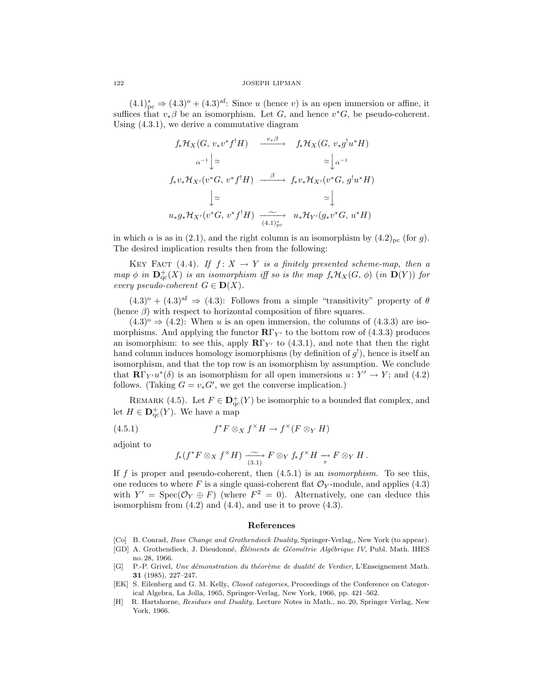#### 122 JOSEPH LIPMAN

 $(4.1)_{\text{pc}}^* \Rightarrow (4.3)^{\circ} + (4.3)^{\text{af}}$ : Since u (hence v) is an open immersion or affine, it suffices that  $v_*\beta$  be an isomorphism. Let G, and hence  $v^*G$ , be pseudo-coherent. Using (4.3.1), we derive a commutative diagram

$$
f_*\mathcal{H}_X(G, v_*v^*f^!H) \xrightarrow{v_*\beta} f_*\mathcal{H}_X(G, v_*g^!u^*H)
$$
  
\n
$$
\alpha^{-1}\downarrow \simeq \qquad \simeq \downarrow \alpha^{-1}
$$
  
\n
$$
f_*v_*\mathcal{H}_{X'}(v^*G, v^*f^!H) \xrightarrow{\beta} f_*v_*\mathcal{H}_{X'}(v^*G, g^!u^*H)
$$
  
\n
$$
\downarrow \simeq \qquad \simeq \downarrow
$$
  
\n
$$
u_*g_*\mathcal{H}_{X'}(v^*G, v^*f^!H) \xrightarrow{(4.1)_{\mathfrak{p}c}^*} u_*\mathcal{H}_{Y'}(g_*v^*G, u^*H)
$$

in which  $\alpha$  is as in (2.1), and the right column is an isomorphism by  $(4.2)_{\text{pc}}$  (for g). The desired implication results then from the following:

KEY FACT (4.4). If  $f: X \to Y$  is a finitely presented scheme-map, then a map  $\phi$  in  $\mathbf{D}^+_{\mathrm{qc}}(X)$  is an isomorphism iff so is the map  $f_*\mathcal{H}_X(G,\phi)$  (in  $\mathbf{D}(Y)$ ) for every pseudo-coherent  $G \in \mathbf{D}(X)$ .

 $(4.3)^\circ + (4.3)^\text{af} \Rightarrow (4.3)$ : Follows from a simple "transitivity" property of  $\theta$ (hence  $\beta$ ) with respect to horizontal composition of fibre squares.

 $(4.3)^\circ \Rightarrow (4.2)$ : When u is an open immersion, the columns of  $(4.3.3)$  are isomorphisms. And applying the functor  $\mathbb{R}\Gamma_{Y'}$  to the bottom row of (4.3.3) produces an isomorphism: to see this, apply  $R\Gamma_{Y'}$  to (4.3.1), and note that then the right hand column induces homology isomorphisms (by definition of  $g'$ ), hence is itself an isomorphism, and that the top row is an isomorphism by assumption. We conclude that  $\mathbf{R}\Gamma_{Y'}u^*(\delta)$  is an isomorphism for all open immersions  $u: Y' \to Y$ ; and (4.2) follows. (Taking  $G = v_* G'$ , we get the converse implication.)

REMARK (4.5). Let  $F \in D^+_{\text{qc}}(Y)$  be isomorphic to a bounded flat complex, and let  $H \in \mathbf{D}_{\mathrm{qc}}^+(Y)$ . We have a map

(4.5.1) 
$$
f^*F \otimes_X f^\times H \to f^\times (F \otimes_Y H)
$$

adjoint to

$$
f_*(f^*F \otimes_X f^*H) \xrightarrow{(3.1)} F \otimes_Y f_*f^*H \xrightarrow{\tau} F \otimes_Y H.
$$

If f is proper and pseudo-coherent, then  $(4.5.1)$  is an *isomorphism*. To see this, one reduces to where F is a single quasi-coherent flat  $\mathcal{O}_Y$ -module, and applies (4.3) with  $Y' = \text{Spec}(\mathcal{O}_Y \oplus F)$  (where  $F^2 = 0$ ). Alternatively, one can deduce this isomorphism from  $(4.2)$  and  $(4.4)$ , and use it to prove  $(4.3)$ .

#### References

- [Co] B. Conrad, *Base Change and Grothendieck Duality*, Springer-Verlag, New York (to appear).
- [GD] A. Grothendieck, J. Dieudonné, Éléments de Géométrie Algébrique IV, Publ. Math. IHES no. 28, 1966.
- [G] P.-P. Grivel, Une démonstration du théorème de dualité de Verdier, L'Enseignement Math. 31 (1985), 227–247.
- [EK] S. Eilenberg and G. M. Kelly, Closed categories, Proceedings of the Conference on Categorical Algebra, La Jolla, 1965, Springer-Verlag, New York, 1966, pp. 421–562.
- [H] R. Hartshorne, Residues and Duality, Lecture Notes in Math., no. 20, Springer Verlag, New York, 1966.